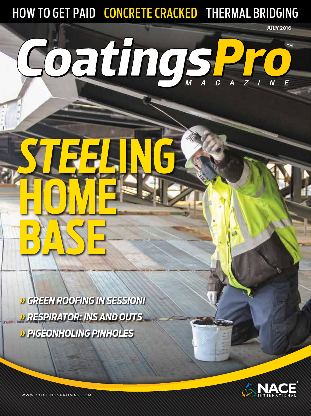HOW TO GET PAID CONCRETE CRACKED THERMAL BRIDGING

# CoatingSPro

*» GREEN ROOFING IN SESSION! » RESPIRATOR: INS AND OUTS » PIGEONHOLING PINHOLES*

*STEEL***ING**

**HOME**

**BASE**



JULY 2016

**TM** 

WWW.COATINGSPROMAG.COM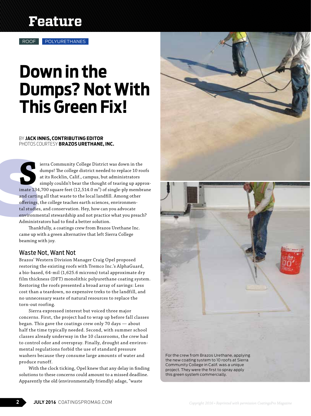## **Feature**

# **Down in the Dumps? Not With This Green Fix!**

#### BY **JACK INNIS, CONTRIBUTING EDITOR** PHOTOS COURTESY **BRAZOS URETHANE, INC.**

mate 134<br>
imate 134<br>
and cartir<br>
offerings,<br>
tal studie<br>
environm<br>
Administ<br>
Than **Signal Community College District was down in the dumps! The college district needed to replace 10 roofs at its Rocklin, Calif., campus, but administrators simply couldn't bear the thought of tearing up approximate 134,70** dumps! The college district needed to replace 10 roofs at its Rocklin, Calif., campus, but administrators simply couldn't bear the thought of tearing up approxand carting all that waste to the local landfill. Among other offerings, the college teaches earth sciences, environmental studies, and conservation. Hey, how can you advocate environmental stewardship and not practice what you preach? Administrators had to find a better solution.

Thankfully, a coatings crew from Brazos Urethane Inc. came up with a green alternative that left Sierra College beaming with joy.

#### Waste Not, Want Not

Brazos' Western Division Manager Craig Opel proposed restoring the existing roofs with Tremco Inc.'s AlphaGuard, a bio-based, 64-mil (1,625.6 microns) total approximate dry film thickness (DFT) monolithic polyurethane coating system. Restoring the roofs presented a broad array of savings: Less cost than a teardown, no expensive treks to the landfill, and no unnecessary waste of natural resources to replace the torn-out roofing.

Sierra expressed interest but voiced three major concerns. First, the project had to wrap up before fall classes began. This gave the coatings crew only 70 days — about half the time typically needed. Second, with summer school classes already underway in the 10 classrooms, the crew had to control odor and overspray. Finally, drought and environmental regulations forbid the use of standard pressure washers because they consume large amounts of water and produce runoff.

With the clock ticking, Opel knew that any delay in finding solutions to these concerns could amount to a missed deadline. Apparently the old (environmentally friendly) adage, "waste

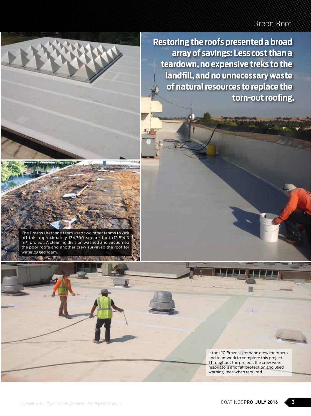## Green Roof



The Brazos Urethane team used two other teams to kick

off this approximately 134,700-square-foot (12,514.0 m²) project: A cleaning division washed and vacuumed the poor roofs and another crew surveyed the roof for waterlogged foam.

- 1

**Restoring the roofs presented a broad array of savings: Less cost than a teardown, no expensive treks to the landfill, and no unnecessary waste of natural resources to replace the torn-out roofing.**

> It took 10 Brazos Urethane crew members and teamwork to complete this project. Throughout the project, the crew wore respirators and fall protection and used warning lines when required.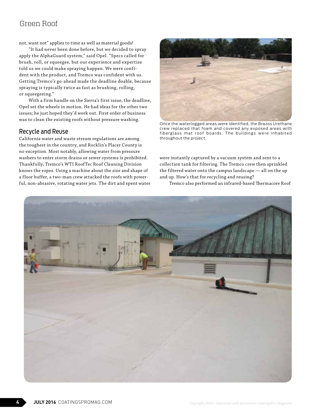### Green Roof

not, want not" applies to time as well as material goods!

"It had never been done before, but we decided to spray apply the AlphaGuard system," said Opel. "Specs called for brush, roll, or squeegee, but our experience and expertise told us we could make spraying happen. We were confident with the product, and Tremco was confident with us. Getting Tremco's go-ahead made the deadline doable, because spraying is typically twice as fast as brushing, rolling, or squeegeeing."

With a firm handle on the Sierra's first issue, the deadline, Opel set the wheels in motion. He had ideas for the other two issues; he just hoped they'd work out. First order of business was to clean the existing roofs without pressure washing.

#### Recycle and Reuse

California water and waste stream regulations are among the toughest in the country, and Rocklin's Placer County is no exception. Most notably, allowing water from pressure washers to enter storm drains or sewer systems is prohibited. Thankfully, Tremco's WTI RoofTec Roof Cleaning Division knows the ropes. Using a machine about the size and shape of a floor buffer, a two-man crew attacked the roofs with powerful, non-abrasive, rotating water jets. The dirt and spent water



Once the waterlogged areas were identified, the Brazos Urethane crew replaced that foam and covered any exposed areas with fiberglass mat roof boards. The buildings were inhabited throughout the project.

were instantly captured by a vacuum system and sent to a collection tank for filtering. The Tremco crew then sprinkled the filtered water onto the campus landscape — all on the up and up. How's that for recycling and reusing?

Tremco also performed an infrared-based Thermacore Roof

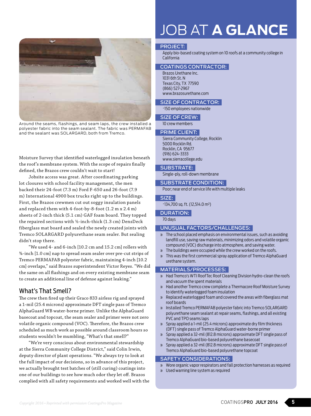

Around the seams, flashings, and seam laps, the crew installed a polyester fabric into the seam sealant. The fabric was PERMAFAB and the sealant was SOLARGARD, both from Tremco.

Moisture Survey that identified waterlogged insulation beneath the roof's membrane system. With the scope of repairs finally defined, the Brazos crew couldn't wait to start!

Jobsite access was great. After coordinating parking lot closures with school facility management, the men backed their 24-foot (7.3 m) Ford F-650 and 26-foot (7.9 m) International 4900 box trucks right up to the buildings. First, the Brazos crewmen cut out soggy insulation panels and replaced them with 4-foot-by-8-foot (1.2 m x 2.4 m) sheets of 2-inch thick (5.1 cm) GAF foam board. They topped the repaired sections with ½-inch-thick (1.3 cm) DensDeck fiberglass mat board and sealed the newly created joints with Tremco SOLARGARD polyurethane seam sealer. But sealing didn't stop there.

"We used 4- and 6-inch [10.2 cm and 15.2 cm] rollers with ⅜-inch [1.0 cm] nap to spread seam sealer over pre-cut strips of Tremco PERMAFAB polyester fabric, maintaining 4-inch [10.2 cm] overlaps," said Brazos superintendent Victor Reyes. "We did the same on all flashings and on every existing membrane seam to create an additional line of defense against leaking."

#### What's That Smell?

The crew then fired up their Graco 833 airless rig and sprayed a 1-mil (25.4 microns) approximate DFT single pass of Tremco AlphaGuard WB water-borne primer. Unlike the AlphaGuard basecoat and topcoat, the seam sealer and primer were not zero volatile organic compound (VOC). Therefore, the Brazos crew scheduled as much work as possible around classroom hours so students wouldn't be mumbling, "What's that smell?"

"We're very conscious about environmental stewardship at the Sierra Community College District," said Colin Irwin, deputy director of plant operations. "We always try to look at the full impact of our decisions, so in advance of this project, we actually brought test batches of (still curing) coatings into one of our buildings to see how much odor they let off. Brazos complied with all safety requirements and worked well with the

## JOB AT **A GLANCE**

#### PROJECT:

Apply bio-based coating system on 10 roofs at a community college in California

#### COATINGS CONTRACTOR:

Brazos Urethane Inc. 1031 6th St. N Texas City, TX 77590 (866) 527-2967 www.brazosurethane.com

SIZE OF CONTRACTOR:

~150 employees nationwide

#### SIZE OF CREW:

10 crew members

#### PRIME CLIENT:

Sierra Community College, Rocklin 5000 Rocklin Rd. Rocklin, CA 95677 (916) 624-3333 www.sierracollege.edu

#### SUBSTRATE:

Single-ply, roll-down membrane

#### SUBSTRATE CONDITION:

Poor; near end of service life with multiple leaks

#### SIZE:

~134,700 sq. ft. (12,514.0 m²)

#### DURATION:

70 days

#### UNUSUAL FACTORS/CHALLENGES:

- » The school placed emphasis on environmental issues, such as avoiding landfill use, saving raw materials, minimizing odors and volatile organic compound (VOC) discharge into atmosphere, and saving water.
- » The buildings were occupied while the crew worked on the roofs.
- » This was the first commercial spray application of Tremco AlphaGuard urethane system.

#### MATERIALS/PROCESSES:

- » Had Tremco's WTI RoofTec Roof Cleaning Division hydro-clean the roofs and vacuum the spent materials
- » Had another Tremco crew complete a Thermacore Roof Moisture Survey to identify waterlogged foam insulation
- » Replaced waterlogged foam and covered the areas with fiberglass mat roof boards
- » Installed Tremco PERMAFAB polyester fabric into Tremco SOLARGARD polyurethane seam sealant at repair seams, flashings, and all existing PVC and TPO seams laps
- » Spray applied a 1-mil (25.4 microns) approximate dry film thickness (DFT) single pass of Tremco AlphaGuard water-borne primer
- » Spray applied a 32-mil (812.8 microns) approximate DFT single pass of Tremco AlphaGuard bio-based polyurethane basecoat
- » Spray applied a 32-mil (812.8 microns) approximate DFT single pass of Tremco AlphaGuard bio-based polyurethane topcoat

#### SAFETY CONSIDERATIONS:

- » Wore organic vapor respirators and fall protection harnesses as required
- » Used warning line system as required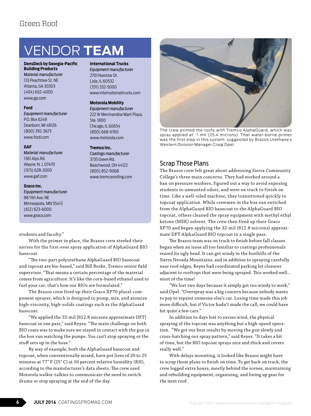## VENDOR **TEAM**

**International Trucks** *Equipment manufacturer* 2701 Navistar Dr. Lisle, IL 60532 (331) 332-5000

**Motorola Mobility** *Equipment manufacturer* 222 W Merchandise Mart Plaza,

Ste. 1800 Chicago, IL 60654 (800) 668-6765 www.motorola.com

**Tremco Inc.** 

*Coatings manufacturer* 3735 Green Rd. Beachwood, OH 44122 (800) 852-9068 www.tremcoroofing.com

www.internationaltrucks.com

#### **DensDeck by Georgia-Pacific Building Products**

*Material manufacturer* 133 Peachtree St. NE Atlanta, GA 30303 (404) 652-4000 www.gp.com

#### **Ford**

*Equipment manufacturer* P.O. Box 6248 Dearborn, MI 48126 (800) 392-3673 www.ford.com

#### **GAF**

*Material manufacturer* 1361 Alps Rd. Wayne, N. J. 07470 (973) 628-3000 www.gaf.com

#### **Graco Inc.**

*Equipment manufacturer* 88 11th Ave. NE Minneapolis, MN 55413 (612) 623-6000 www.graco.com

students and faculty."

With the primer in place, the Brazos crew steeled their nerves for the first-ever spray application of AlphaGuard BIO basecoat.

"The two-part polyurethane AlphaGuard BIO basecoat and topcoat are bio-based," said Bill Burke, Tremco senior field supervisor. "That means a certain percentage of the material comes from agriculture. It's like the corn-based ethanol used to fuel your car; that's how our BIOs are formulated."

The Brazos crew fired up their Graco XP70 plural-component sprayer, which is designed to pump, mix, and atomize high-viscosity, high-solids coatings such as the AlphaGuard basecoat.

"We applied the 32-mil [812.8 microns approximate DFT] basecoat in one pass," said Reyes. "The main challenge on both BIO coats was to make sure we stayed in contact with the guy in the box van watching the pumps. You can't stop spraying or the stuff sets up in the hose."

By way of example, both the AlphaGuard basecoat and topcoat, when conventionally mixed, have pot lives of 20 to 25 minutes at 77° F (25° C) at 50 percent relative humidity (RH), according to the manufacturer's data sheets. The crew used Motorola walkie-talkies to communicate the need to switch drums or stop spraying at the end of the day.



The crew primed the roofs with Tremco AlphaGuard, which was spray applied at ~1 mil (25.4 microns). That water-borne primer was the first step in this system, suggested by Brazos Urethane's Western Division Manager Craig Opel.

#### Scrap Those Plans

The Brazos crew felt great about addressing Sierra Community College's three main concerns. They had worked around a ban on pressure washers, figured out a way to avoid exposing students to unwanted odors, and were on track to finish on time. Like a well-oiled machine, they transitioned quickly to topcoat application. While crewmen in the box van switched from the AlphaGuard BIO basecoat to the AlphaGuard BIO topcoat, others cleaned the spray equipment with methyl ethyl ketone (MEK) solvent. The crew then fired up their Graco XP70 and began applying the 32-mil (812.8 microns) approximate DFT AlphaGuard BIO topcoat in a single pass.

The Brazos team was on track to finish before fall classes began when an issue all too familiar to coatings professionals reared its ugly head. It can get windy in the foothills of the Sierra Nevada Mountains, and in addition to spraying carefully near roof edges, Reyes had coordinated parking lot closures adjacent to rooftops that were being sprayed. This worked well… most of the time!

"We lost two days because it simply got too windy to work," said Opel. "Overspray was a big concern because nobody wants to pay to repaint someone else's car. Losing time made this job more difficult, but if Victor hadn't made the call, we could have hit quite a few cars."

In addition to days lost to excess wind, the physical spraying of the topcoat was anything but a high-speed operation. "We got our best results by moving the gun slowly and cross-hatching our spray pattern," said Reyes. "It takes a bit of time, but the BIO topcoat sprays nice and thick and covers really well."

With delays mounting, it looked like Brazos might have to scrap those plans to finish on time. To get back on track, the crew logged extra hours, mostly behind the scenes, maintaining and rebuilding equipment, organizing, and lining up gear for the next roof.